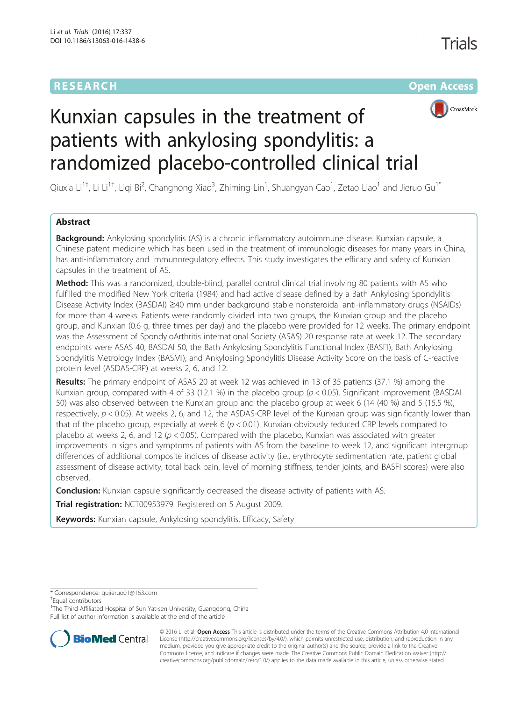# **RESEARCH CHE Open Access**



# Kunxian capsules in the treatment of patients with ankylosing spondylitis: a randomized placebo-controlled clinical trial

Qiuxia Li<sup>1†</sup>, Li Li<sup>1†</sup>, Liqi Bi<sup>2</sup>, Changhong Xiao<sup>3</sup>, Zhiming Lin<sup>1</sup>, Shuangyan Cao<sup>1</sup>, Zetao Liao<sup>1</sup> and Jieruo Gu<sup>1\*</sup>

# Abstract

**Background:** Ankylosing spondylitis (AS) is a chronic inflammatory autoimmune disease. Kunxian capsule, a Chinese patent medicine which has been used in the treatment of immunologic diseases for many years in China, has anti-inflammatory and immunoregulatory effects. This study investigates the efficacy and safety of Kunxian capsules in the treatment of AS.

Method: This was a randomized, double-blind, parallel control clinical trial involving 80 patients with AS who fulfilled the modified New York criteria (1984) and had active disease defined by a Bath Ankylosing Spondylitis Disease Activity Index (BASDAI) ≥40 mm under background stable nonsteroidal anti-inflammatory drugs (NSAIDs) for more than 4 weeks. Patients were randomly divided into two groups, the Kunxian group and the placebo group, and Kunxian (0.6 g, three times per day) and the placebo were provided for 12 weeks. The primary endpoint was the Assessment of SpondyloArthritis international Society (ASAS) 20 response rate at week 12. The secondary endpoints were ASAS 40, BASDAI 50, the Bath Ankylosing Spondylitis Functional Index (BASFI), Bath Ankylosing Spondylitis Metrology Index (BASMI), and Ankylosing Spondylitis Disease Activity Score on the basis of C-reactive protein level (ASDAS-CRP) at weeks 2, 6, and 12.

Results: The primary endpoint of ASAS 20 at week 12 was achieved in 13 of 35 patients (37.1 %) among the Kunxian group, compared with 4 of 33 (12.1 %) in the placebo group ( $p < 0.05$ ). Significant improvement (BASDAI 50) was also observed between the Kunxian group and the placebo group at week 6 (14 (40 %) and 5 (15.5 %), respectively,  $p < 0.05$ ). At weeks 2, 6, and 12, the ASDAS-CRP level of the Kunxian group was significantly lower than that of the placebo group, especially at week 6 ( $p < 0.01$ ). Kunxian obviously reduced CRP levels compared to placebo at weeks 2, 6, and 12 ( $p < 0.05$ ). Compared with the placebo, Kunxian was associated with greater improvements in signs and symptoms of patients with AS from the baseline to week 12, and significant intergroup differences of additional composite indices of disease activity (i.e., erythrocyte sedimentation rate, patient global assessment of disease activity, total back pain, level of morning stiffness, tender joints, and BASFI scores) were also observed.

**Conclusion:** Kunxian capsule significantly decreased the disease activity of patients with AS.

Trial registration: [NCT00953979](https://clinicaltrials.gov/show/NCT00953979). Registered on 5 August 2009.

Keywords: Kunxian capsule, Ankylosing spondylitis, Efficacy, Safety

\* Correspondence: [gujieruo01@163.com](mailto:gujieruo01@163.com) †

Equal contributors

<sup>1</sup>The Third Affiliated Hospital of Sun Yat-sen University, Guangdong, China Full list of author information is available at the end of the article



© 2016 Li et al. Open Access This article is distributed under the terms of the Creative Commons Attribution 4.0 International License ([http://creativecommons.org/licenses/by/4.0/\)](http://creativecommons.org/licenses/by/4.0/), which permits unrestricted use, distribution, and reproduction in any medium, provided you give appropriate credit to the original author(s) and the source, provide a link to the Creative Commons license, and indicate if changes were made. The Creative Commons Public Domain Dedication waiver ([http://](http://creativecommons.org/publicdomain/zero/1.0/) [creativecommons.org/publicdomain/zero/1.0/\)](http://creativecommons.org/publicdomain/zero/1.0/) applies to the data made available in this article, unless otherwise stated.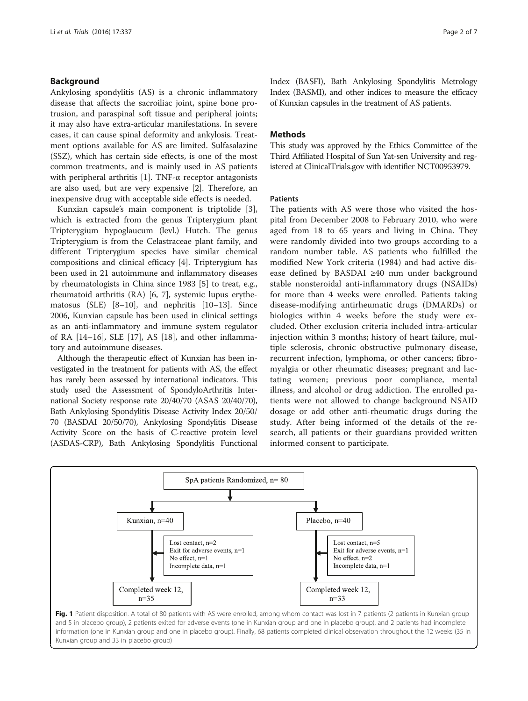#### <span id="page-1-0"></span>Background

Ankylosing spondylitis (AS) is a chronic inflammatory disease that affects the sacroiliac joint, spine bone protrusion, and paraspinal soft tissue and peripheral joints; it may also have extra-articular manifestations. In severe cases, it can cause spinal deformity and ankylosis. Treatment options available for AS are limited. Sulfasalazine (SSZ), which has certain side effects, is one of the most common treatments, and is mainly used in AS patients with peripheral arthritis [[1\]](#page-5-0). TNF-α receptor antagonists are also used, but are very expensive [[2\]](#page-5-0). Therefore, an inexpensive drug with acceptable side effects is needed.

Kunxian capsule's main component is triptolide [\[3](#page-5-0)], which is extracted from the genus Tripterygium plant Tripterygium hypoglaucum (levl.) Hutch. The genus Tripterygium is from the Celastraceae plant family, and different Tripterygium species have similar chemical compositions and clinical efficacy [\[4](#page-5-0)]. Tripterygium has been used in 21 autoimmune and inflammatory diseases by rheumatologists in China since 1983 [[5](#page-5-0)] to treat, e.g., rheumatoid arthritis (RA) [\[6](#page-5-0), [7](#page-5-0)], systemic lupus erythematosus (SLE) [[8](#page-5-0)–[10\]](#page-5-0), and nephritis [[10](#page-5-0)–[13\]](#page-6-0). Since 2006, Kunxian capsule has been used in clinical settings as an anti-inflammatory and immune system regulator of RA [[14](#page-6-0)–[16](#page-6-0)], SLE [[17\]](#page-6-0), AS [[18\]](#page-6-0), and other inflammatory and autoimmune diseases.

Although the therapeutic effect of Kunxian has been investigated in the treatment for patients with AS, the effect has rarely been assessed by international indicators. This study used the Assessment of SpondyloArthritis International Society response rate 20/40/70 (ASAS 20/40/70), Bath Ankylosing Spondylitis Disease Activity Index 20/50/ 70 (BASDAI 20/50/70), Ankylosing Spondylitis Disease Activity Score on the basis of C-reactive protein level (ASDAS-CRP), Bath Ankylosing Spondylitis Functional Index (BASFI), Bath Ankylosing Spondylitis Metrology Index (BASMI), and other indices to measure the efficacy of Kunxian capsules in the treatment of AS patients.

#### **Methods**

This study was approved by the Ethics Committee of the Third Affiliated Hospital of Sun Yat-sen University and registered at ClinicalTrials.gov with identifier NCT00953979.

#### Patients

The patients with AS were those who visited the hospital from December 2008 to February 2010, who were aged from 18 to 65 years and living in China. They were randomly divided into two groups according to a random number table. AS patients who fulfilled the modified New York criteria (1984) and had active disease defined by BASDAI ≥40 mm under background stable nonsteroidal anti-inflammatory drugs (NSAIDs) for more than 4 weeks were enrolled. Patients taking disease-modifying antirheumatic drugs (DMARDs) or biologics within 4 weeks before the study were excluded. Other exclusion criteria included intra-articular injection within 3 months; history of heart failure, multiple sclerosis, chronic obstructive pulmonary disease, recurrent infection, lymphoma, or other cancers; fibromyalgia or other rheumatic diseases; pregnant and lactating women; previous poor compliance, mental illness, and alcohol or drug addiction. The enrolled patients were not allowed to change background NSAID dosage or add other anti-rheumatic drugs during the study. After being informed of the details of the research, all patients or their guardians provided written informed consent to participate.



and 5 in placebo group), 2 patients exited for adverse events (one in Kunxian group and one in placebo group), and 2 patients had incomplete information (one in Kunxian group and one in placebo group). Finally, 68 patients completed clinical observation throughout the 12 weeks (35 in Kunxian group and 33 in placebo group)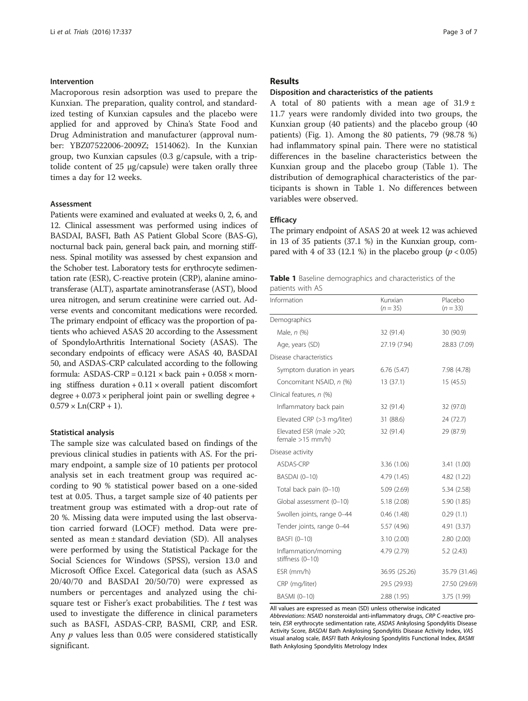#### Intervention

Macroporous resin adsorption was used to prepare the Kunxian. The preparation, quality control, and standardized testing of Kunxian capsules and the placebo were applied for and approved by China's State Food and Drug Administration and manufacturer (approval number: YBZ07522006-2009Z; 1514062). In the Kunxian group, two Kunxian capsules (0.3 g/capsule, with a triptolide content of 25 μg/capsule) were taken orally three times a day for 12 weeks.

#### **Assessment**

Patients were examined and evaluated at weeks 0, 2, 6, and 12. Clinical assessment was performed using indices of BASDAI, BASFI, Bath AS Patient Global Score (BAS-G), nocturnal back pain, general back pain, and morning stiffness. Spinal motility was assessed by chest expansion and the Schober test. Laboratory tests for erythrocyte sedimentation rate (ESR), C-reactive protein (CRP), alanine aminotransferase (ALT), aspartate aminotransferase (AST), blood urea nitrogen, and serum creatinine were carried out. Adverse events and concomitant medications were recorded. The primary endpoint of efficacy was the proportion of patients who achieved ASAS 20 according to the Assessment of SpondyloArthritis International Society (ASAS). The secondary endpoints of efficacy were ASAS 40, BASDAI 50, and ASDAS-CRP calculated according to the following formula: ASDAS-CRP =  $0.121 \times$  back pain +  $0.058 \times$  morning stiffness duration  $+0.11 \times$  overall patient discomfort degree  $+0.073 \times$  peripheral joint pain or swelling degree  $+$  $0.579 \times Ln(CRP + 1)$ .

#### Statistical analysis

The sample size was calculated based on findings of the previous clinical studies in patients with AS. For the primary endpoint, a sample size of 10 patients per protocol analysis set in each treatment group was required according to 90 % statistical power based on a one-sided test at 0.05. Thus, a target sample size of 40 patients per treatment group was estimated with a drop-out rate of 20 %. Missing data were imputed using the last observation carried forward (LOCF) method. Data were presented as mean ± standard deviation (SD). All analyses were performed by using the Statistical Package for the Social Sciences for Windows (SPSS), version 13.0 and Microsoft Office Excel. Categorical data (such as ASAS 20/40/70 and BASDAI 20/50/70) were expressed as numbers or percentages and analyzed using the chisquare test or Fisher's exact probabilities. The  $t$  test was used to investigate the difference in clinical parameters such as BASFI, ASDAS-CRP, BASMI, CRP, and ESR. Any *p* values less than 0.05 were considered statistically significant.

#### Results

#### Disposition and characteristics of the patients

A total of 80 patients with a mean age of  $31.9 \pm$ 11.7 years were randomly divided into two groups, the Kunxian group (40 patients) and the placebo group (40 patients) (Fig. [1](#page-1-0)). Among the 80 patients, 79 (98.78 %) had inflammatory spinal pain. There were no statistical differences in the baseline characteristics between the Kunxian group and the placebo group (Table 1). The distribution of demographical characteristics of the participants is shown in Table 1. No differences between variables were observed.

#### **Efficacy**

The primary endpoint of ASAS 20 at week 12 was achieved in 13 of 35 patients (37.1 %) in the Kunxian group, compared with 4 of 33 (12.1 %) in the placebo group ( $p < 0.05$ )

|                  | <b>Table 1</b> Baseline demographics and characteristics of the |  |  |
|------------------|-----------------------------------------------------------------|--|--|
| patients with AS |                                                                 |  |  |

| Information                                   | Kunxian<br>$(n = 35)$ | Placebo<br>$(n = 33)$ |
|-----------------------------------------------|-----------------------|-----------------------|
| Demographics                                  |                       |                       |
| Male, n (%)                                   | 32 (91.4)             | 30 (90.9)             |
| Age, years (SD)                               | 27.19 (7.94)          | 28.83 (7.09)          |
| Disease characteristics                       |                       |                       |
| Symptom duration in years                     | 6.76(5.47)            | 7.98 (4.78)           |
| Concomitant NSAID, n (%)                      | 13(37.1)              | 15(45.5)              |
| Clinical features, n (%)                      |                       |                       |
| Inflammatory back pain                        | 32 (91.4)             | 32 (97.0)             |
| Elevated CRP (>3 mg/liter)                    | 31 (88.6)             | 24 (72.7)             |
| Elevated ESR (male >20;<br>female $>15$ mm/h) | 32 (91.4)             | 29 (87.9)             |
| Disease activity                              |                       |                       |
| ASDAS-CRP                                     | 3.36(1.06)            | 3.41(1.00)            |
| <b>BASDAI</b> (0-10)                          | 4.79 (1.45)           | 4.82 (1.22)           |
| Total back pain (0-10)                        | 5.09(2.69)            | 5.34(2.58)            |
| Global assessment (0-10)                      | 5.18(2.08)            | 5.90(1.85)            |
| Swollen joints, range 0-44                    | 0.46(1.48)            | 0.29(1.1)             |
| Tender joints, range 0-44                     | 5.57 (4.96)           | 4.91(3.37)            |
| BASFI (0-10)                                  | 3.10(2.00)            | 2.80(2.00)            |
| Inflammation/morning<br>stiffness (0-10)      | 4.79 (2.79)           | 5.2(2.43)             |
| ESR (mm/h)                                    | 36.95 (25.26)         | 35.79 (31.46)         |
| CRP (mg/liter)                                | 29.5 (29.93)          | 27.50 (29.69)         |
| BASMI (0-10)                                  | 2.88(1.95)            | 3.75 (1.99)           |

All values are expressed as mean (SD) unless otherwise indicated

Abbreviations: NSAID nonsteroidal anti-inflammatory drugs, CRP C-reactive protein, ESR erythrocyte sedimentation rate, ASDAS Ankylosing Spondylitis Disease Activity Score, BASDAI Bath Ankylosing Spondylitis Disease Activity Index, VAS visual analog scale, BASFI Bath Ankylosing Spondylitis Functional Index, BASMI Bath Ankylosing Spondylitis Metrology Index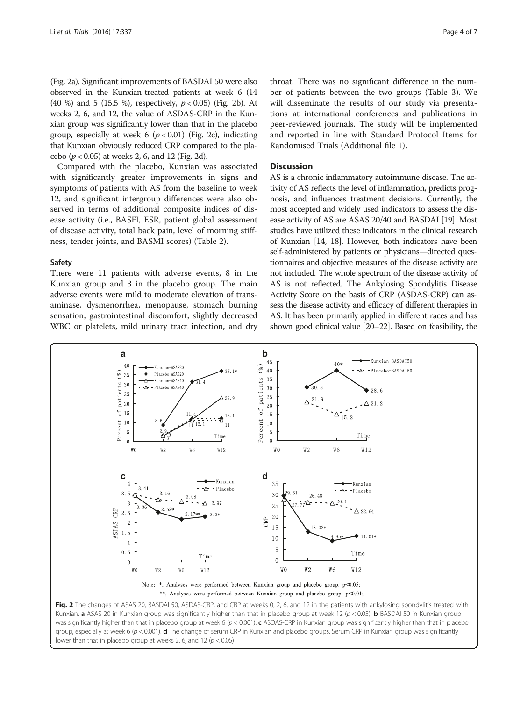(Fig. 2a). Significant improvements of BASDAI 50 were also observed in the Kunxian-treated patients at week 6 (14 (40 %) and 5 (15.5 %), respectively,  $p < 0.05$ ) (Fig. 2b). At weeks 2, 6, and 12, the value of ASDAS-CRP in the Kunxian group was significantly lower than that in the placebo group, especially at week 6 ( $p < 0.01$ ) (Fig. 2c), indicating that Kunxian obviously reduced CRP compared to the placebo (p < 0.05) at weeks 2, 6, and 12 (Fig. 2d).

Compared with the placebo, Kunxian was associated with significantly greater improvements in signs and symptoms of patients with AS from the baseline to week 12, and significant intergroup differences were also observed in terms of additional composite indices of disease activity (i.e., BASFI, ESR, patient global assessment of disease activity, total back pain, level of morning stiffness, tender joints, and BASMI scores) (Table [2](#page-4-0)).

#### Safety

There were 11 patients with adverse events, 8 in the Kunxian group and 3 in the placebo group. The main adverse events were mild to moderate elevation of transaminase, dysmenorrhea, menopause, stomach burning sensation, gastrointestinal discomfort, slightly decreased WBC or platelets, mild urinary tract infection, and dry

throat. There was no significant difference in the number of patients between the two groups (Table [3](#page-5-0)). We will disseminate the results of our study via presentations at international conferences and publications in peer-reviewed journals. The study will be implemented and reported in line with Standard Protocol Items for Randomised Trials (Additional file [1](#page-5-0)).

#### **Discussion**

AS is a chronic inflammatory autoimmune disease. The activity of AS reflects the level of inflammation, predicts prognosis, and influences treatment decisions. Currently, the most accepted and widely used indicators to assess the disease activity of AS are ASAS 20/40 and BASDAI [\[19](#page-6-0)]. Most studies have utilized these indicators in the clinical research of Kunxian [\[14, 18](#page-6-0)]. However, both indicators have been self-administered by patients or physicians—directed questionnaires and objective measures of the disease activity are not included. The whole spectrum of the disease activity of AS is not reflected. The Ankylosing Spondylitis Disease Activity Score on the basis of CRP (ASDAS-CRP) can assess the disease activity and efficacy of different therapies in AS. It has been primarily applied in different races and has shown good clinical value [[20](#page-6-0)–[22](#page-6-0)]. Based on feasibility, the



was significantly higher than that in placebo group at week 6  $(p < 0.001)$ . c ASDAS-CRP in Kunxian group was significantly higher than that in placebo group, especially at week 6 ( $p < 0.001$ ). **d** The change of serum CRP in Kunxian and placebo groups. Serum CRP in Kunxian group was significantly lower than that in placebo group at weeks 2, 6, and 12 ( $p < 0.05$ )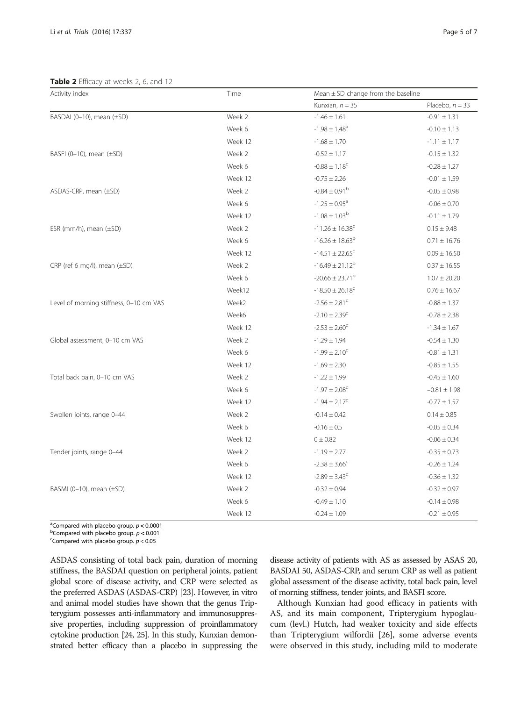<span id="page-4-0"></span>Table 2 Efficacy at weeks 2, 6, and 12

| Activity index                          | Time    |                                 | Mean $\pm$ SD change from the baseline |  |  |
|-----------------------------------------|---------|---------------------------------|----------------------------------------|--|--|
|                                         |         | Kunxian, $n = 35$               | Placebo, $n = 33$                      |  |  |
| BASDAI (0-10), mean (±SD)               | Week 2  | $-1.46 \pm 1.61$                | $-0.91 \pm 1.31$                       |  |  |
|                                         | Week 6  | $-1.98 \pm 1.48$ <sup>a</sup>   | $-0.10 \pm 1.13$                       |  |  |
|                                         | Week 12 | $-1.68 \pm 1.70$                | $-1.11 \pm 1.17$                       |  |  |
| BASFI (0-10), mean $(\pm SD)$           | Week 2  | $-0.52 \pm 1.17$                | $-0.15 \pm 1.32$                       |  |  |
|                                         | Week 6  | $-0.88 \pm 1.18$ <sup>c</sup>   | $-0.28 \pm 1.27$                       |  |  |
|                                         | Week 12 | $-0.75 \pm 2.26$                | $-0.01 \pm 1.59$                       |  |  |
| ASDAS-CRP, mean $(\pm SD)$              | Week 2  | $-0.84 \pm 0.91^{\rm b}$        | $-0.05 \pm 0.98$                       |  |  |
|                                         | Week 6  | $-1.25 \pm 0.95$ <sup>a</sup>   | $-0.06 \pm 0.70$                       |  |  |
|                                         | Week 12 | $-1.08 \pm 1.03^{\rm b}$        | $-0.11 \pm 1.79$                       |  |  |
| ESR (mm/h), mean $(\pm SD)$             | Week 2  | $-11.26 \pm 16.38$ <sup>c</sup> | $0.15 \pm 9.48$                        |  |  |
|                                         | Week 6  | $-16.26 \pm 18.63^b$            | $0.71 \pm 16.76$                       |  |  |
|                                         | Week 12 | $-14.51 \pm 22.65$ <sup>c</sup> | $0.09 \pm 16.50$                       |  |  |
| CRP (ref 6 mg/l), mean $(\pm SD)$       | Week 2  | $-16.49 \pm 21.12^{b}$          | $0.37 \pm 16.55$                       |  |  |
|                                         | Week 6  | $-20.66 \pm 23.71^{b}$          | $1.07 \pm 20.20$                       |  |  |
|                                         | Week12  | $-18.50 \pm 26.18$ <sup>c</sup> | $0.76 \pm 16.67$                       |  |  |
| Level of morning stiffness, 0-10 cm VAS | Week2   | $-2.56 \pm 2.81$ <sup>c</sup>   | $-0.88 \pm 1.37$                       |  |  |
|                                         | Week6   | $-2.10 \pm 2.39$ <sup>c</sup>   | $-0.78 \pm 2.38$                       |  |  |
|                                         | Week 12 | $-2.53 \pm 2.60^{\circ}$        | $-1.34 \pm 1.67$                       |  |  |
| Global assessment, 0-10 cm VAS          | Week 2  | $-1.29 \pm 1.94$                | $-0.54 \pm 1.30$                       |  |  |
|                                         | Week 6  | $-1.99 \pm 2.10^{\circ}$        | $-0.81 \pm 1.31$                       |  |  |
|                                         | Week 12 | $-1.69 \pm 2.30$                | $-0.85 \pm 1.55$                       |  |  |
| Total back pain, 0-10 cm VAS            | Week 2  | $-1.22 \pm 1.99$                | $-0.45 \pm 1.60$                       |  |  |
|                                         | Week 6  | $-1.97 \pm 2.08$ <sup>c</sup>   | $-0.81 \pm 1.98$                       |  |  |
|                                         | Week 12 | $-1.94 \pm 2.17^c$              | $-0.77 \pm 1.57$                       |  |  |
| Swollen joints, range 0-44              | Week 2  | $-0.14 \pm 0.42$                | $0.14 \pm 0.85$                        |  |  |
|                                         | Week 6  | $-0.16 \pm 0.5$                 | $-0.05 \pm 0.34$                       |  |  |
|                                         | Week 12 | $0 \pm 0.82$                    | $-0.06 \pm 0.34$                       |  |  |
| Tender joints, range 0-44               | Week 2  | $-1.19 \pm 2.77$                | $-0.35 \pm 0.73$                       |  |  |
|                                         | Week 6  | $-2.38 \pm 3.66^{\circ}$        | $-0.26 \pm 1.24$                       |  |  |
|                                         | Week 12 | $-2.89 \pm 3.43^c$              | $-0.36 \pm 1.32$                       |  |  |
| BASMI (0-10), mean $(\pm SD)$           | Week 2  | $-0.32 \pm 0.94$                | $-0.32 \pm 0.97$                       |  |  |
|                                         | Week 6  | $-0.49 \pm 1.10$                | $-0.14 \pm 0.98$                       |  |  |
|                                         | Week 12 | $-0.24 \pm 1.09$                | $-0.21 \pm 0.95$                       |  |  |

<sup>a</sup> Compared with placebo group.  $p < 0.0001$ <br>b Compared with placebo group.  $p < 0.001$ 

<sup>b</sup>Compared with placebo group.  $p < 0.001$ 

<sup>c</sup>Compared with placebo group.  $p < 0.05$ 

ASDAS consisting of total back pain, duration of morning stiffness, the BASDAI question on peripheral joints, patient global score of disease activity, and CRP were selected as the preferred ASDAS (ASDAS-CRP) [\[23](#page-6-0)]. However, in vitro and animal model studies have shown that the genus Tripterygium possesses anti-inflammatory and immunosuppressive properties, including suppression of proinflammatory cytokine production [\[24](#page-6-0), [25](#page-6-0)]. In this study, Kunxian demonstrated better efficacy than a placebo in suppressing the

disease activity of patients with AS as assessed by ASAS 20, BASDAI 50, ASDAS-CRP, and serum CRP as well as patient global assessment of the disease activity, total back pain, level of morning stiffness, tender joints, and BASFI score.

Although Kunxian had good efficacy in patients with AS, and its main component, Tripterygium hypoglaucum (levl.) Hutch, had weaker toxicity and side effects than Tripterygium wilfordii [\[26\]](#page-6-0), some adverse events were observed in this study, including mild to moderate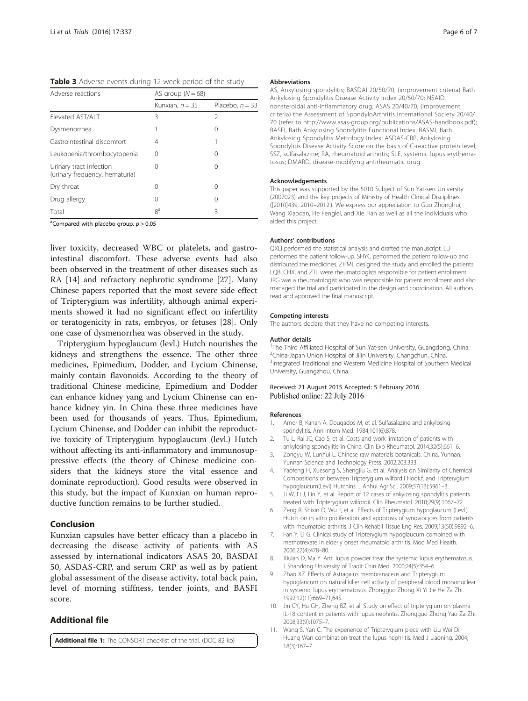<span id="page-5-0"></span>Table 3 Adverse events during 12-week period of the study

| Adverse reactions                                         | AS group $(N = 68)$ |                   |  |  |
|-----------------------------------------------------------|---------------------|-------------------|--|--|
|                                                           | Kunxian, $n = 35$   | Placebo, $n = 33$ |  |  |
| Elevated AST/ALT                                          | 3                   | 2                 |  |  |
| Dysmenorrhea                                              |                     | $\left($          |  |  |
| Gastrointestinal discomfort                               | 4                   |                   |  |  |
| Leukopenia/thrombocytopenia                               | 0                   |                   |  |  |
| Urinary tract infection<br>(urinary frequency, hematuria) | 0                   | $\left($          |  |  |
| Dry throat                                                | 0                   | 0                 |  |  |
| Drug allergy                                              | $\left( \right)$    | $\left($          |  |  |
| Total                                                     | 8 <sup>a</sup>      | ζ                 |  |  |

<sup>a</sup>Compared with placebo group.  $p > 0.05$ 

liver toxicity, decreased WBC or platelets, and gastrointestinal discomfort. These adverse events had also been observed in the treatment of other diseases such as RA [\[14\]](#page-6-0) and refractory nephrotic syndrome [\[27\]](#page-6-0). Many Chinese papers reported that the most severe side effect of Tripterygium was infertility, although animal experiments showed it had no significant effect on infertility or teratogenicity in rats, embryos, or fetuses [\[28](#page-6-0)]. Only one case of dysmenorrhea was observed in the study.

Tripterygium hypoglaucum (levl.) Hutch nourishes the kidneys and strengthens the essence. The other three medicines, Epimedium, Dodder, and Lycium Chinense, mainly contain flavonoids. According to the theory of traditional Chinese medicine, Epimedium and Dodder can enhance kidney yang and Lycium Chinense can enhance kidney yin. In China these three medicines have been used for thousands of years. Thus, Epimedium, Lycium Chinense, and Dodder can inhibit the reproductive toxicity of Tripterygium hypoglaucum (levl.) Hutch without affecting its anti-inflammatory and immunosuppressive effects (the theory of Chinese medicine considers that the kidneys store the vital essence and dominate reproduction). Good results were observed in this study, but the impact of Kunxian on human reproductive function remains to be further studied.

#### Conclusion

Kunxian capsules have better efficacy than a placebo in decreasing the disease activity of patients with AS assessed by international indicators ASAS 20, BASDAI 50, ASDAS-CRP, and serum CRP as well as by patient global assessment of the disease activity, total back pain, level of morning stiffness, tender joints, and BASFI score.

### Additional file

[Additional file 1:](dx.doi.org/10.1186/s13063-016-1438-6) The CONSORT checklist of the trial. (DOC 82 kb)

#### Abbreviations

AS, Ankylosing spondylitis; BASDAI 20/50/70, (improvement criteria) Bath Ankylosing Spondylitis Disease Activity Index 20/50/70; NSAID, nonsteroidal anti-inflammatory drug; ASAS 20/40/70, (improvement criteria) the Assessment of SpondyloArthritis international Society 20/40/ 70 (refer to [http://www.asas-group.org/publications/ASAS-handbook.pdf\)](http://www.asas-group.org/publications/ASAS-handbook.pdf); BASFI, Bath Ankylosing Spondylitis Functional Index; BASMI, Bath Ankylosing Spondylitis Metrology Index; ASDAS-CRP, Ankylosing Spondylitis Disease Activity Score on the basis of C-reactive protein level; SSZ, sulfasalazine; RA, rheumatoid arthritis; SLE, systemic lupus erythematosus; DMARD, disease-modifying antirheumatic drug

#### Acknowledgements

This paper was supported by the 5010 Subject of Sun Yat-sen University (2007023) and the key projects of Ministry of Health Clinical Disciplines ([2010]439, 2010–2012.). We express our appreciation to Guo Zhonghui, Wang Xiaodan, He Fenglei, and Xie Han as well as all the individuals who aided this project.

#### Authors' contributions

QXLi performed the statistical analysis and drafted the manuscript. LLi performed the patient follow-up. SHYC performed the patient follow-up and distributed the medicines. ZHML designed the study and enrolled the patients. LQB, CHX, and ZTL were rheumatologists responsible for patient enrollment. JRG was a rheumatologist who was responsible for patient enrollment and also managed the trial and participated in the design and coordination. All authors read and approved the final manuscript.

#### Competing interests

The authors declare that they have no competing interests.

#### Author details

<sup>1</sup>The Third Affiliated Hospital of Sun Yat-sen University, Guangdong, China. <sup>2</sup>China-Japan Union Hospital of Jilin University, Changchun, China <sup>3</sup>Integrated Traditional and Western Medicine Hospital of Southern Medical University, Guangzhou, China.

#### Received: 21 August 2015 Accepted: 5 February 2016 Published online: 22 July 2016

#### References

- Amor B, Kahan A, Dougados M, et al. Sulfasalazine and ankylosing spondylitis. Ann Intern Med. 1984;101(6):878.
- 2. Tu L, Rai JC, Cao S, et al. Costs and work limitation of patients with ankylosing spondylitis in China. Clin Exp Rheumatol. 2014;32(5):661–6.
- 3. Zongyu W, Lunhui L. Chinese raw materials botanicals. China, Yunnan. Yunnan Science and Technology Press. 2002;203:333.
- 4. Yaofeng H, Xuesong S, Shengjiu G, et al. Analysis on Similarity of Chemical Compositions of between Tripterygium wilfordii Hook.f. and Tripterygium hypoglaucum(Levl) Hutchins. J Anhui AgriSci. 2009;37(13):5961–3.
- 5. Ji W, Li J, Lin Y, et al. Report of 12 cases of ankylosing spondylitis patients treated with Tripterygium wilfordii. Clin Rheumatol. 2010;29(9):1067–72.
- 6. Zeng R, Shixin D, Wu J, et al. Effects of Tripterygium hypoglaucum (Levl.) Hutch on in vitro proliferation and apoptosis of synoviocytes from patients with rheumatoid arthritis. J Clin Rehabil Tissue Eng Res. 2009;13(50):9892–6.
- 7. Fan Y, Li G. Clinical study of Tripterygium hypoglaucum combined with methotrexate in elderly onset rheumatoid arthritis. Mod Med Health. 2006;22(4):478–80.
- 8. Xiulan D, Ma Y. Anti lupus powder treat the systemic lupus erythematosus. J Shandong University of Tradit Chin Med. 2000;24(5):354–6.
- Zhao XZ. Effects of Astragalus membranaceus and Tripterygium hypoglancum on natural killer cell activity of peripheral blood mononuclear in systemic lupus erythematosus. Zhongguo Zhong Xi Yi Jie He Za Zhi. 1992;12(11):669–71,645.
- 10. Jin CY, Hu GH, Zheng BZ, et al. Study on effect of tripterygium on plasma IL-18 content in patients with lupus nephritis. Zhongguo Zhong Yao Za Zhi. 2008;33(9):1075–7.
- 11. Wang S, Yan C. The experience of Tripterygium piece with Liu Wei Di Huang Wan combination treat the lupus nephritis. Med J Liaoning. 2004; 18(3):167–7.